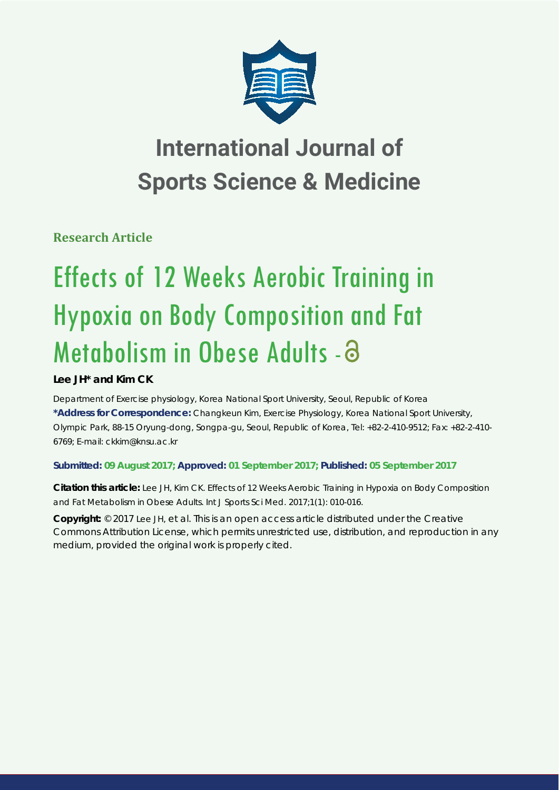

## **International Journal of Sports Science & Medicine**

**Research Article**

# Effects of 12 Weeks Aerobic Training in Hypoxia on Body Composition and Fat Metabolism in Obese Adults - a

## **Lee JH\* and Kim CK**

*Department of Exercise physiology, Korea National Sport University, Seoul, Republic of Korea* **\*Address for Correspondence:** Changkeun Kim, Exercise Physiology, Korea National Sport University, Olympic Park, 88-15 Oryung-dong, Songpa-gu, Seoul, Republic of Korea, Tel: +82-2-410-9512; Fax: +82-2-410- 6769; E-mail: ckkim@knsu.ac.kr

### **Submitted: 09 August 2017; Approved: 01 September 2017; Published: 05 September 2017**

**Citation this article:** Lee JH, Kim CK. Effects of 12 Weeks Aerobic Training in Hypoxia on Body Composition and Fat Metabolism in Obese Adults. Int J Sports Sci Med. 2017;1(1): 010-016.

**Copyright:** © 2017 Lee JH, et al. This is an open access article distributed under the Creative Commons Attribution License, which permits unrestricted use, distribution, and reproduction in any medium, provided the original work is properly cited.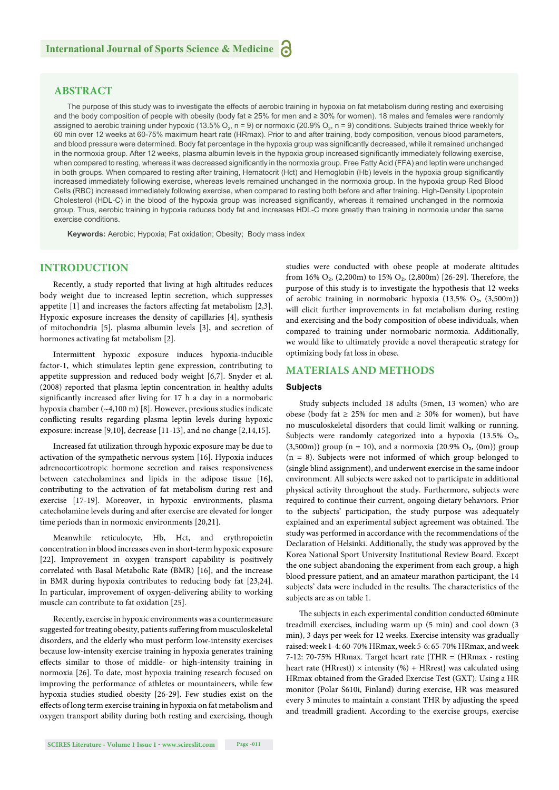#### **ABSTRACT**

The purpose of this study was to investigate the effects of aerobic training in hypoxia on fat metabolism during resting and exercising and the body composition of people with obesity (body fat ≥ 25% for men and ≥ 30% for women). 18 males and females were randomly assigned to aerobic training under hypoxic (13.5%  $\rm O_2$ , n = 9) or normoxic (20.9%  $\rm O_2$ , n = 9) conditions. Subjects trained thrice weekly for 60 min over 12 weeks at 60-75% maximum heart rate (HRmax). Prior to and after training, body composition, venous blood parameters, and blood pressure were determined. Body fat percentage in the hypoxia group was significantly decreased, while it remained unchanged in the normoxia group. After 12 weeks, plasma albumin levels in the hypoxia group increased significantly immediately following exercise, when compared to resting, whereas it was decreased significantly in the normoxia group. Free Fatty Acid (FFA) and leptin were unchanged in both groups. When compared to resting after training, Hematocrit (Hct) and Hemoglobin (Hb) levels in the hypoxia group significantly increased immediately following exercise, whereas levels remained unchanged in the normoxia group. In the hypoxia group Red Blood Cells (RBC) increased immediately following exercise, when compared to resting both before and after training. High-Density Lipoprotein Cholesterol (HDL-C) in the blood of the hypoxia group was increased significantly, whereas it remained unchanged in the normoxia group. Thus, aerobic training in hypoxia reduces body fat and increases HDL-C more greatly than training in normoxia under the same exercise conditions.

**Keywords:** Aerobic; Hypoxia; Fat oxidation; Obesity; Body mass index

#### **INTRODUCTION**

Recently, a study reported that living at high altitudes reduces body weight due to increased leptin secretion, which suppresses appetite  $[1]$  and increases the factors affecting fat metabolism  $[2,3]$ . Hypoxic exposure increases the density of capillaries [4], synthesis of mitochondria [5], plasma albumin levels [3], and secretion of hormones activating fat metabolism [2].

Intermittent hypoxic exposure induces hypoxia-inducible factor-1, which stimulates leptin gene expression, contributing to appetite suppression and reduced body weight [6,7]. Snyder et al. (2008) reported that plasma leptin concentration in healthy adults significantly increased after living for 17 h a day in a normobaric hypoxia chamber (~4,100 m) [8]. However, previous studies indicate conflicting results regarding plasma leptin levels during hypoxic exposure: increase [9,10], decrease [11-13], and no change [2,14,15].

Increased fat utilization through hypoxic exposure may be due to activation of the sympathetic nervous system [16]. Hypoxia induces adrenocorticotropic hormone secretion and raises responsiveness between catecholamines and lipids in the adipose tissue [16], contributing to the activation of fat metabolism during rest and exercise [17-19]. Moreover, in hypoxic environments, plasma catecholamine levels during and after exercise are elevated for longer time periods than in normoxic environments [20,21].

Meanwhile reticulocyte, Hb, Hct, and erythropoietin concentration in blood increases even in short-term hypoxic exposure [22]. Improvement in oxygen transport capability is positively correlated with Basal Metabolic Rate (BMR) [16], and the increase in BMR during hypoxia contributes to reducing body fat [23,24]. In particular, improvement of oxygen-delivering ability to working muscle can contribute to fat oxidation [25].

Recently, exercise in hypoxic environments was a countermeasure suggested for treating obesity, patients suffering from musculoskeletal disorders, and the elderly who must perform low-intensity exercises because low-intensity exercise training in hypoxia generates training effects similar to those of middle- or high-intensity training in normoxia [26]. To date, most hypoxia training research focused on improving the performance of athletes or mountaineers, while few hypoxia studies studied obesity [26-29]. Few studies exist on the effects of long term exercise training in hypoxia on fat metabolism and oxygen transport ability during both resting and exercising, though

studies were conducted with obese people at moderate altitudes from 16%  $O_2$ , (2,200m) to 15%  $O_2$ , (2,800m) [26-29]. Therefore, the purpose of this study is to investigate the hypothesis that 12 weeks of aerobic training in normobaric hypoxia  $(13.5\% \text{ O}_2, (3,500\text{m}))$ will elicit further improvements in fat metabolism during resting and exercising and the body composition of obese individuals, when compared to training under normobaric normoxia. Additionally, we would like to ultimately provide a novel therapeutic strategy for optimizing body fat loss in obese.

#### **MATERIALS AND METHODS**

#### **Subjects**

Study subjects included 18 adults (5men, 13 women) who are obese (body fat ≥ 25% for men and ≥ 30% for women), but have no musculoskeletal disorders that could limit walking or running. Subjects were randomly categorized into a hypoxia  $(13.5\% \text{ O}_2,$  $(3,500m)$ ) group (n = 10), and a normoxia (20.9% O<sub>2</sub>, (0m)) group  $(n = 8)$ . Subjects were not informed of which group belonged to (single blind assignment), and underwent exercise in the same indoor environment. All subjects were asked not to participate in additional physical activity throughout the study. Furthermore, subjects were required to continue their current, ongoing dietary behaviors. Prior to the subjects' participation, the study purpose was adequately explained and an experimental subject agreement was obtained. The study was performed in accordance with the recommendations of the Declaration of Helsinki. Additionally, the study was approved by the Korea National Sport University Institutional Review Board. Except the one subject abandoning the experiment from each group, a high blood pressure patient, and an amateur marathon participant, the 14 subjects' data were included in the results. The characteristics of the subjects are as on table 1.

The subjects in each experimental condition conducted 60minute treadmill exercises, including warm up (5 min) and cool down (3 min), 3 days per week for 12 weeks. Exercise intensity was gradually raised: week 1-4: 60-70% HRmax, week 5-6: 65-70% HRmax, and week 7-12: 70-75% HRmax. Target heart rate {THR = (HRmax - resting heart rate (HRrest))  $\times$  intensity (%) + HRrest} was calculated using HRmax obtained from the Graded Exercise Test (GXT). Using a HR monitor (Polar S610i, Finland) during exercise, HR was measured every 3 minutes to maintain a constant THR by adjusting the speed and treadmill gradient. According to the exercise groups, exercise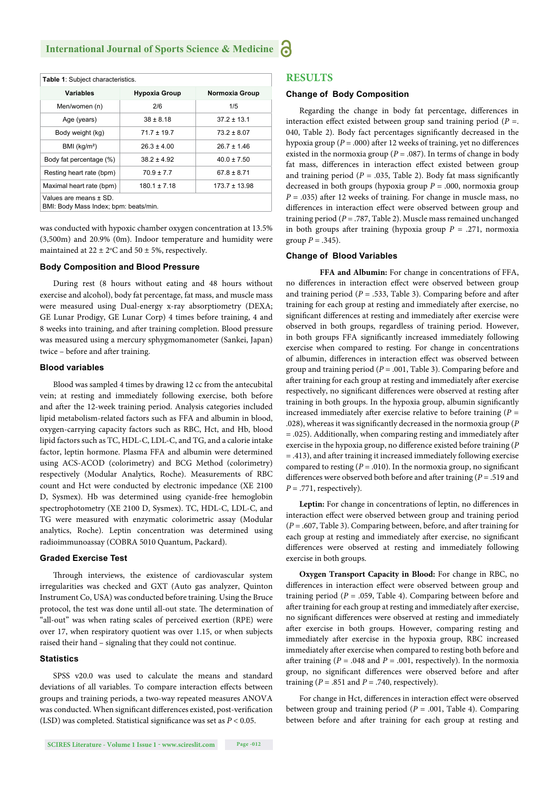| <b>Table 1: Subject characteristics.</b>                        |                      |                   |  |  |
|-----------------------------------------------------------------|----------------------|-------------------|--|--|
| <b>Variables</b>                                                | <b>Hypoxia Group</b> | Normoxia Group    |  |  |
| Men/women (n)                                                   | 2/6                  | 1/5               |  |  |
| Age (years)                                                     | $38 \pm 8.18$        | $37.2 \pm 13.1$   |  |  |
| Body weight (kg)                                                | $71.7 \pm 19.7$      | $73.2 \pm 8.07$   |  |  |
| BMI (kg/m <sup>2</sup> )                                        | $26.3 \pm 4.00$      | $26.7 \pm 1.46$   |  |  |
| Body fat percentage (%)                                         | $38.2 \pm 4.92$      | $40.0 \pm 7.50$   |  |  |
| Resting heart rate (bpm)                                        | $70.9 \pm 7.7$       | $67.8 \pm 8.71$   |  |  |
| Maximal heart rate (bpm)                                        | $180.1 \pm 7.18$     | $173.7 \pm 13.98$ |  |  |
| Values are means ± SD.<br>BMI: Body Mass Index; bpm: beats/min. |                      |                   |  |  |

was conducted with hypoxic chamber oxygen concentration at 13.5% (3,500m) and 20.9% (0m). Indoor temperature and humidity were maintained at  $22 \pm 2$ °C and  $50 \pm 5$ %, respectively.

#### **Body Composition and Blood Pressure**

During rest (8 hours without eating and 48 hours without exercise and alcohol), body fat percentage, fat mass, and muscle mass were measured using Dual-energy x-ray absorptiometry (DEXA; GE Lunar Prodigy, GE Lunar Corp) 4 times before training, 4 and 8 weeks into training, and after training completion. Blood pressure was measured using a mercury sphygmomanometer (Sankei, Japan) twice - before and after training.

#### **Blood variables**

Blood was sampled 4 times by drawing 12 cc from the antecubital vein; at resting and immediately following exercise, both before and after the 12-week training period. Analysis categories included lipid metabolism-related factors such as FFA and albumin in blood, oxygen-carrying capacity factors such as RBC, Hct, and Hb, blood lipid factors such as TC, HDL-C, LDL-C, and TG, and a calorie intake factor, leptin hormone. Plasma FFA and albumin were determined using ACS-ACOD (colorimetry) and BCG Method (colorimetry) respectively (Modular Analytics, Roche). Measurements of RBC count and Hct were conducted by electronic impedance (XE 2100 D, Sysmex). Hb was determined using cyanide-free hemoglobin spectrophotometry (XE 2100 D, Sysmex). TC, HDL-C, LDL-C, and TG were measured with enzymatic colorimetric assay (Modular analytics, Roche). Leptin concentration was determined using radioimmunoassay (COBRA 5010 Quantum, Packard).

#### **Graded Exercise Test**

Through interviews, the existence of cardiovascular system irregularities was checked and GXT (Auto gas analyzer, Quinton Instrument Co, USA) was conducted before training. Using the Bruce protocol, the test was done until all-out state. The determination of "all-out" was when rating scales of perceived exertion (RPE) were over 17, when respiratory quotient was over 1.15, or when subjects raised their hand – signaling that they could not continue.

#### **Statistics**

SPSS v20.0 was used to calculate the means and standard deviations of all variables. To compare interaction effects between groups and training periods, a two-way repeated measures ANOVA was conducted. When significant differences existed, post-verification (LSD) was completed. Statistical significance was set as  $P < 0.05$ .

#### **RESULTS**

#### **Change of Body Composition**

Regarding the change in body fat percentage, differences in interaction effect existed between group sand training period ( $P =$ . 040, Table 2). Body fact percentages significantly decreased in the hypoxia group ( $P = .000$ ) after 12 weeks of training, yet no differences existed in the normoxia group ( $P = .087$ ). In terms of change in body fat mass, differences in interaction effect existed between group and training period ( $P = .035$ , Table 2). Body fat mass significantly decreased in both groups (hypoxia group *P* = .000, normoxia group  $P = .035$ ) after 12 weeks of training. For change in muscle mass, no differences in interaction effect were observed between group and training period (*P* = .787, Table 2). Muscle mass remained unchanged in both groups after training (hypoxia group  $P = .271$ , normoxia group  $P = .345$ ).

#### **Change of Blood Variables**

**FFA and Albumin:** For change in concentrations of FFA, no differences in interaction effect were observed between group and training period ( $P = .533$ , Table 3). Comparing before and after training for each group at resting and immediately after exercise, no significant differences at resting and immediately after exercise were observed in both groups, regardless of training period. However, in both groups FFA significantly increased immediately following exercise when compared to resting. For change in concentrations of albumin, differences in interaction effect was observed between group and training period (*P* = .001, Table 3). Comparing before and after training for each group at resting and immediately after exercise respectively, no significant differences were observed at resting after training in both groups. In the hypoxia group, albumin significantly increased immediately after exercise relative to before training  $(P =$ .028), whereas it was significantly decreased in the normoxia group (P  $= .025$ ). Additionally, when comparing resting and immediately after exercise in the hypoxia group, no difference existed before training (*P*  $=$  .413), and after training it increased immediately following exercise compared to resting  $(P = .010)$ . In the normoxia group, no significant differences were observed both before and after training ( $P = .519$  and  $P = .771$ , respectively).

Leptin: For change in concentrations of leptin, no differences in interaction effect were observed between group and training period  $(P = .607,$  Table 3). Comparing between, before, and after training for each group at resting and immediately after exercise, no significant differences were observed at resting and immediately following exercise in both groups.

**Oxygen Transport Capacity in Blood:** For change in RBC, no differences in interaction effect were observed between group and training period ( $P = .059$ , Table 4). Comparing between before and after training for each group at resting and immediately after exercise, no significant differences were observed at resting and immediately after exercise in both groups. However, comparing resting and immediately after exercise in the hypoxia group, RBC increased immediately after exercise when compared to resting both before and after training ( $P = .048$  and  $P = .001$ , respectively). In the normoxia group, no significant differences were observed before and after training ( $P = .851$  and  $P = .740$ , respectively).

For change in Hct, differences in interaction effect were observed between group and training period (*P* = .001, Table 4). Comparing between before and after training for each group at resting and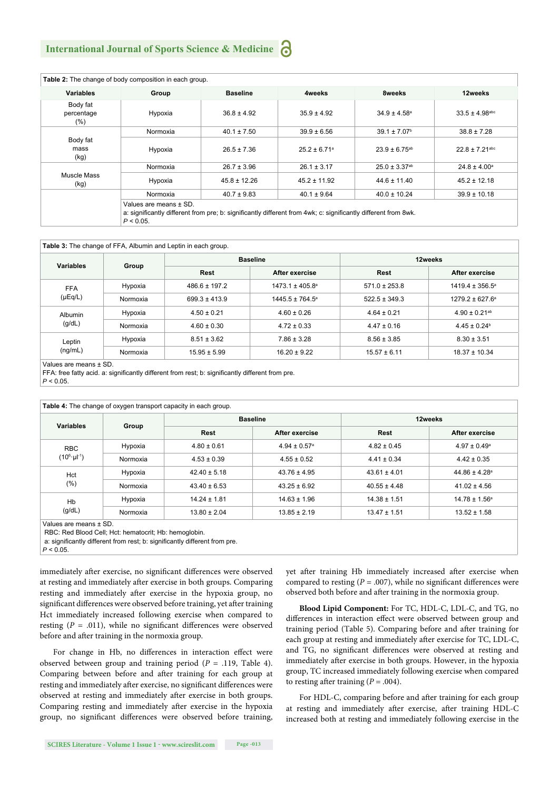#### **International Journal of Sports Science & Medicine**

| Table 2: The change of body composition in each group. |                                                                                                                                                          |                  |                              |                               |                                |
|--------------------------------------------------------|----------------------------------------------------------------------------------------------------------------------------------------------------------|------------------|------------------------------|-------------------------------|--------------------------------|
| <b>Variables</b>                                       | Group                                                                                                                                                    | <b>Baseline</b>  | 4weeks                       | 8weeks                        | 12weeks                        |
| Body fat<br>percentage<br>$(\%)$                       | Hypoxia                                                                                                                                                  | $36.8 \pm 4.92$  | $35.9 \pm 4.92$              | $34.9 \pm 4.58^{\circ}$       | $33.5 \pm 4.98$ <sup>abc</sup> |
|                                                        | Normoxia                                                                                                                                                 | $40.1 \pm 7.50$  | $39.9 \pm 6.56$              | $39.1 \pm 7.07$ <sup>b</sup>  | $38.8 \pm 7.28$                |
| Body fat<br>mass<br>(kg)                               | Hypoxia                                                                                                                                                  | $26.5 \pm 7.36$  | $25.2 \pm 6.71$ <sup>a</sup> | $23.9 \pm 6.75^{ab}$          | $22.8 \pm 7.21$ <sup>abc</sup> |
| Muscle Mass<br>(kg)                                    | Normoxia                                                                                                                                                 | $26.7 \pm 3.96$  | $26.1 \pm 3.17$              | $25.0 \pm 3.37$ <sup>ab</sup> | $24.8 \pm 4.00^{\circ}$        |
|                                                        | Hypoxia                                                                                                                                                  | $45.8 \pm 12.26$ | $45.2 \pm 11.92$             | $44.6 \pm 11.40$              | $45.2 \pm 12.18$               |
|                                                        | Normoxia                                                                                                                                                 | $40.7 \pm 9.83$  | $40.1 \pm 9.64$              | $40.0 \pm 10.24$              | $39.9 \pm 10.18$               |
|                                                        | Values are means ± SD.<br>a: significantly different from pre; b: significantly different from 4wk; c: significantly different from 8wk.<br>$P < 0.05$ . |                  |                              |                               |                                |

| Variables                                         |          | <b>Baseline</b>   |                            | 12weeks           |                            |
|---------------------------------------------------|----------|-------------------|----------------------------|-------------------|----------------------------|
|                                                   | Group    | Rest              | After exercise             | Rest              | After exercise             |
| Hypoxia<br><b>FFA</b><br>$(\mu Eq/L)$<br>Normoxia |          | $486.6 \pm 197.2$ | $1473.1 \pm 405.8^{\circ}$ | $571.0 \pm 253.8$ | $1419.4 \pm 356.5^{\circ}$ |
|                                                   |          | $699.3 \pm 413.9$ | $1445.5 \pm 764.5^{\circ}$ | $522.5 \pm 349.3$ | $1279.2 \pm 627.6^{\circ}$ |
| Albumin<br>(g/dL)                                 | Hypoxia  | $4.50 \pm 0.21$   | $4.60 \pm 0.26$            | $4.64 \pm 0.21$   | $4.90 \pm 0.21^{ab}$       |
|                                                   | Normoxia | $4.60 \pm 0.30$   | $4.72 \pm 0.33$            | $4.47 \pm 0.16$   | $4.45 \pm 0.24^b$          |
| Leptin<br>(ng/mL)                                 | Hypoxia  | $8.51 \pm 3.62$   | $7.86 \pm 3.28$            | $8.56 \pm 3.85$   | $8.30 \pm 3.51$            |
|                                                   | Normoxia | $15.95 \pm 5.99$  | $16.20 \pm 9.22$           | $15.57 \pm 6.11$  | $18.37 \pm 10.34$          |

Values are means ± SD.

FFA: free fatty acid. a: significantly different from rest; b: significantly different from pre.

*P* < 0.05.

| Variables                             |          | <b>Baseline</b>  |                              | 12weeks          |                               |
|---------------------------------------|----------|------------------|------------------------------|------------------|-------------------------------|
|                                       | Group    | Rest             | After exercise               | <b>Rest</b>      | After exercise                |
| <b>RBC</b>                            | Hypoxia  | $4.80 \pm 0.61$  | $4.94 \pm 0.57$ <sup>a</sup> | $4.82 \pm 0.45$  | $4.97 \pm 0.49^{\circ}$       |
| $(10^6 \cdot \mu l^{-1})$<br>Normoxia |          | $4.53 \pm 0.39$  | $4.55 \pm 0.52$              | $4.41 \pm 0.34$  | $4.42 \pm 0.35$               |
| Hypoxia<br>Hct<br>$(\% )$<br>Normoxia |          | $42.40 \pm 5.18$ | $43.76 \pm 4.95$             | $43.61 \pm 4.01$ | $44.86 \pm 4.28$ <sup>a</sup> |
|                                       |          | $43.40 \pm 6.53$ | $43.25 \pm 6.92$             | $40.55 \pm 4.48$ | $41.02 \pm 4.56$              |
| Hb                                    | Hypoxia  | $14.24 \pm 1.81$ | $14.63 \pm 1.96$             | $14.38 \pm 1.51$ | $14.78 \pm 1.56^a$            |
| (g/dL)                                | Normoxia | $13.80 \pm 2.04$ | $13.85 \pm 2.19$             | $13.47 \pm 1.51$ | $13.52 \pm 1.58$              |

a: significantly different from rest; b: significantly different from pre.

*P* < 0.05.

immediately after exercise, no significant differences were observed at resting and immediately after exercise in both groups. Comparing resting and immediately after exercise in the hypoxia group, no significant differences were observed before training, yet after training Hct immediately increased following exercise when compared to resting  $(P = .011)$ , while no significant differences were observed before and after training in the normoxia group.

For change in Hb, no differences in interaction effect were observed between group and training period (*P* = .119, Table 4). Comparing between before and after training for each group at resting and immediately after exercise, no significant differences were observed at resting and immediately after exercise in both groups. Comparing resting and immediately after exercise in the hypoxia group, no significant differences were observed before training, yet after training Hb immediately increased after exercise when compared to resting  $(P = .007)$ , while no significant differences were observed both before and after training in the normoxia group.

**Blood Lipid Component:** For TC, HDL-C, LDL-C, and TG, no differences in interaction effect were observed between group and training period (Table 5). Comparing before and after training for each group at resting and immediately after exercise for TC, LDL-C, and TG, no significant differences were observed at resting and immediately after exercise in both groups. However, in the hypoxia group, TC increased immediately following exercise when compared to resting after training  $(P = .004)$ .

For HDL-C, comparing before and after training for each group at resting and immediately after exercise, after training HDL-C increased both at resting and immediately following exercise in the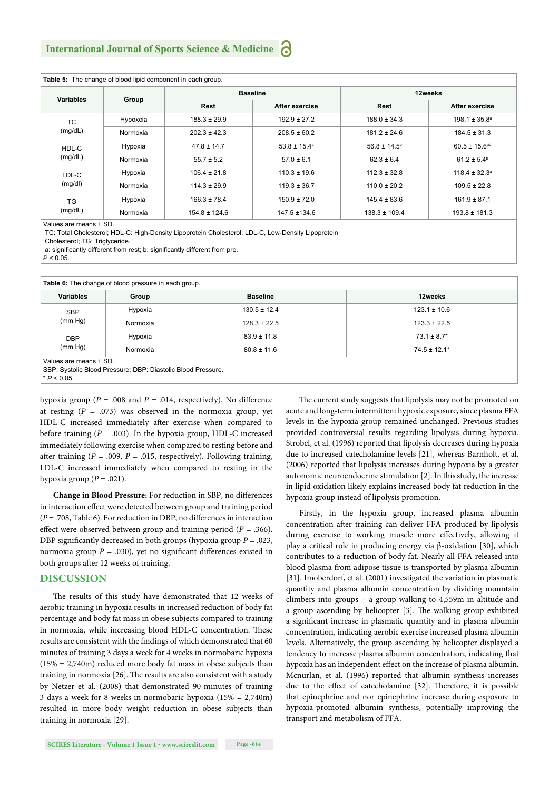| Table 5: The change of blood lipid component in each group. |          |                   |                         |                   |                          |
|-------------------------------------------------------------|----------|-------------------|-------------------------|-------------------|--------------------------|
| Variables                                                   | Group    | <b>Baseline</b>   |                         | 12weeks           |                          |
|                                                             |          | <b>Rest</b>       | After exercise          | <b>Rest</b>       | After exercise           |
| TC.                                                         | Hypoxcia | $188.3 \pm 29.9$  | $192.9 \pm 27.2$        | $188.0 \pm 34.3$  | $198.1 \pm 35.8^{\circ}$ |
| (mg/dL)                                                     | Normoxia | $202.3 \pm 42.3$  | $208.5 \pm 60.2$        | $181.2 \pm 24.6$  | $184.5 \pm 31.3$         |
| HDL-C                                                       | Hypoxia  | $47.8 \pm 14.7$   | $53.8 \pm 15.4^{\circ}$ | $56.8 \pm 14.5^b$ | $60.5 \pm 15.6^{ab}$     |
| (mg/dL)                                                     | Normoxia | $55.7 \pm 5.2$    | $57.0 \pm 6.1$          | $62.3 \pm 6.4$    | $61.2 \pm 5.4^b$         |
| LDL-C<br>(mg/dl)                                            | Hypoxia  | $106.4 \pm 21.8$  | $110.3 \pm 19.6$        | $112.3 \pm 32.8$  | $118.4 \pm 32.3^{\circ}$ |
|                                                             | Normoxia | $114.3 \pm 29.9$  | $119.3 \pm 36.7$        | $110.0 \pm 20.2$  | $109.5 \pm 22.8$         |
| <b>TG</b><br>(mg/dL)                                        | Hypoxia  | $166.3 \pm 78.4$  | $150.9 \pm 72.0$        | $145.4 \pm 83.6$  | $161.9 \pm 87.1$         |
|                                                             | Normoxia | $154.8 \pm 124.6$ | 147.5 ±134.6            | $138.3 \pm 109.4$ | $193.8 \pm 181.3$        |

Values are means ± SD.

TC: Total Cholesterol; HDL-C: High-Density Lipoprotein Cholesterol; LDL-C, Low-Density Lipoprotein

Cholesterol; TG: Triglyceride.

a: significantly different from rest; b: significantly different from pre.

 $P < 0.05$ 

| Table 6: The change of blood pressure in each group. |          |                  |                  |  |
|------------------------------------------------------|----------|------------------|------------------|--|
| <b>Variables</b>                                     | Group    | <b>Baseline</b>  | 12weeks          |  |
| <b>SBP</b><br>(mm Hg)                                | Hypoxia  | $130.5 \pm 12.4$ | $123.1 \pm 10.6$ |  |
|                                                      | Normoxia | $128.3 \pm 22.5$ | $123.3 \pm 22.5$ |  |
| <b>DBP</b><br>(mm Hg)                                | Hypoxia  | $83.9 \pm 11.8$  | $73.1 \pm 8.7^*$ |  |
|                                                      | Normoxia | $80.8 \pm 11.6$  | $74.5 \pm 12.1*$ |  |
| Values are means ± SD.                               |          |                  |                  |  |

SBP: Systolic Blood Pressure; DBP: Diastolic Blood Pressure.  $*$   $P < 0.05$ .

hypoxia group ( $P = .008$  and  $P = .014$ , respectively). No difference at resting  $(P = .073)$  was observed in the normoxia group, yet HDL-C increased immediately after exercise when compared to before training  $(P = .003)$ . In the hypoxia group, HDL-C increased immediately following exercise when compared to resting before and after training ( $P = .009$ ,  $P = .015$ , respectively). Following training, LDL-C increased immediately when compared to resting in the hypoxia group  $(P = .021)$ .

**Change in Blood Pressure:** For reduction in SBP, no differences in interaction effect were detected between group and training period  $(P = .708, Table 6)$ . For reduction in DBP, no differences in interaction effect were observed between group and training period ( $P = .366$ ). DBP significantly decreased in both groups (hypoxia group  $P = .023$ , normoxia group  $P = .030$ , yet no significant differences existed in both groups after 12 weeks of training.

#### **DISCUSSION**

The results of this study have demonstrated that 12 weeks of aerobic training in hypoxia results in increased reduction of body fat percentage and body fat mass in obese subjects compared to training in normoxia, while increasing blood HDL-C concentration. These results are consistent with the findings of which demonstrated that 60 minutes of training 3 days a week for 4 weeks in normobaric hypoxia  $(15\% = 2.740\text{m})$  reduced more body fat mass in obese subjects than training in normoxia [26]. The results are also consistent with a study by Netzer et al. (2008) that demonstrated 90-minutes of training 3 days a week for 8 weeks in normobaric hypoxia (15% = 2,740m) resulted in more body weight reduction in obese subjects than training in normoxia [29].

The current study suggests that lipolysis may not be promoted on acute and long-term intermittent hypoxic exposure, since plasma FFA levels in the hypoxia group remained unchanged. Previous studies provided controversial results regarding lipolysis during hypoxia. Strobel, et al. (1996) reported that lipolysis decreases during hypoxia due to increased catecholamine levels [21], whereas Barnholt, et al. (2006) reported that lipolysis increases during hypoxia by a greater autonomic neuroendocrine stimulation [2]. In this study, the increase in lipid oxidation likely explains increased body fat reduction in the hypoxia group instead of lipolysis promotion.

Firstly, in the hypoxia group, increased plasma albumin concentration after training can deliver FFA produced by lipolysis during exercise to working muscle more effectively, allowing it play a critical role in producing energy via β-oxidation [30], which contributes to a reduction of body fat. Nearly all FFA released into blood plasma from adipose tissue is transported by plasma albumin [31]. Imoberdorf, et al. (2001) investigated the variation in plasmatic quantity and plasma albumin concentration by dividing mountain climbers into groups – a group walking to 4,559m in altitude and a group ascending by helicopter [3]. The walking group exhibited a significant increase in plasmatic quantity and in plasma albumin concentration, indicating aerobic exercise increased plasma albumin levels. Alternatively, the group ascending by helicopter displayed a tendency to increase plasma albumin concentration, indicating that hypoxia has an independent effect on the increase of plasma albumin. Mcnurlan, et al. (1996) reported that albumin synthesis increases due to the effect of catecholamine [32]. Therefore, it is possible that epinephrine and nor epinephrine increase during exposure to hypoxia-promoted albumin synthesis, potentially improving the transport and metabolism of FFA.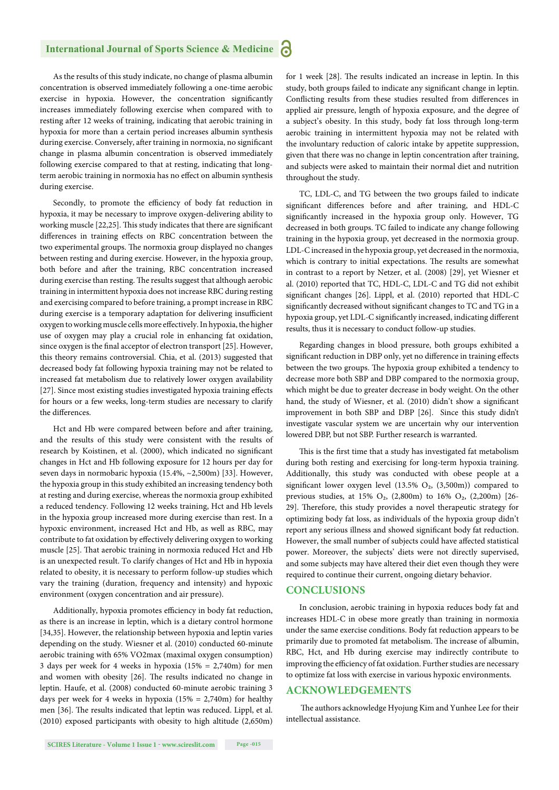#### **International Journal of Sports Science & Medicine**

As the results of this study indicate, no change of plasma albumin concentration is observed immediately following a one-time aerobic exercise in hypoxia. However, the concentration significantly increases immediately following exercise when compared with to resting after 12 weeks of training, indicating that aerobic training in hypoxia for more than a certain period increases albumin synthesis during exercise. Conversely, after training in normoxia, no significant change in plasma albumin concentration is observed immediately following exercise compared to that at resting, indicating that longterm aerobic training in normoxia has no effect on albumin synthesis during exercise.

Secondly, to promote the efficiency of body fat reduction in hypoxia, it may be necessary to improve oxygen-delivering ability to working muscle [22,25]. This study indicates that there are significant differences in training effects on RBC concentration between the two experimental groups. The normoxia group displayed no changes between resting and during exercise. However, in the hypoxia group, both before and after the training, RBC concentration increased during exercise than resting. The results suggest that although aerobic training in intermittent hypoxia does not increase RBC during resting and exercising compared to before training, a prompt increase in RBC during exercise is a temporary adaptation for delivering insufficient oxygen to working muscle cells more effectively. In hypoxia, the higher use of oxygen may play a crucial role in enhancing fat oxidation, since oxygen is the final acceptor of electron transport [25]. However, this theory remains controversial. Chia, et al. (2013) suggested that decreased body fat following hypoxia training may not be related to increased fat metabolism due to relatively lower oxygen availability [27]. Since most existing studies investigated hypoxia training effects for hours or a few weeks, long-term studies are necessary to clarify the differences.

Hct and Hb were compared between before and after training, and the results of this study were consistent with the results of research by Koistinen, et al. (2000), which indicated no significant changes in Hct and Hb following exposure for 12 hours per day for seven days in normobaric hypoxia (15.4%, ~2,500m) [33]. However, the hypoxia group in this study exhibited an increasing tendency both at resting and during exercise, whereas the normoxia group exhibited a reduced tendency. Following 12 weeks training, Hct and Hb levels in the hypoxia group increased more during exercise than rest. In a hypoxic environment, increased Hct and Hb, as well as RBC, may contribute to fat oxidation by effectively delivering oxygen to working muscle [25]. That aerobic training in normoxia reduced Hct and Hb is an unexpected result. To clarify changes of Hct and Hb in hypoxia related to obesity, it is necessary to perform follow-up studies which vary the training (duration, frequency and intensity) and hypoxic environment (oxygen concentration and air pressure).

Additionally, hypoxia promotes efficiency in body fat reduction, as there is an increase in leptin, which is a dietary control hormone [34,35]. However, the relationship between hypoxia and leptin varies depending on the study. Wiesner et al. (2010) conducted 60-minute aerobic training with 65% VO2max (maximal oxygen consumption) 3 days per week for 4 weeks in hypoxia (15% = 2,740m) for men and women with obesity [26]. The results indicated no change in leptin. Haufe, et al. (2008) conducted 60-minute aerobic training 3 days per week for 4 weeks in hypoxia (15% = 2,740m) for healthy men [36]. The results indicated that leptin was reduced. Lippl, et al. (2010) exposed participants with obesity to high altitude (2,650m) for 1 week [28]. The results indicated an increase in leptin. In this study, both groups failed to indicate any significant change in leptin. Conflicting results from these studies resulted from differences in applied air pressure, length of hypoxia exposure, and the degree of a subject's obesity. In this study, body fat loss through long-term aerobic training in intermittent hypoxia may not be related with the involuntary reduction of caloric intake by appetite suppression, given that there was no change in leptin concentration after training, and subjects were asked to maintain their normal diet and nutrition throughout the study.

TC, LDL-C, and TG between the two groups failed to indicate significant differences before and after training, and HDL-C significantly increased in the hypoxia group only. However, TG decreased in both groups. TC failed to indicate any change following training in the hypoxia group, yet decreased in the normoxia group. LDL-C increased in the hypoxia group, yet decreased in the normoxia, which is contrary to initial expectations. The results are somewhat in contrast to a report by Netzer, et al. (2008) [29], yet Wiesner et al. (2010) reported that TC, HDL-C, LDL-C and TG did not exhibit significant changes [26]. Lippl, et al. (2010) reported that HDL-C significantly decreased without significant changes to TC and TG in a hypoxia group, yet LDL-C significantly increased, indicating different results, thus it is necessary to conduct follow-up studies.

Regarding changes in blood pressure, both groups exhibited a significant reduction in DBP only, yet no difference in training effects between the two groups. The hypoxia group exhibited a tendency to decrease more both SBP and DBP compared to the normoxia group, which might be due to greater decrease in body weight. On the other hand, the study of Wiesner, et al. (2010) didn't show a significant improvement in both SBP and DBP [26]. Since this study didn't investigate vascular system we are uncertain why our intervention lowered DBP, but not SBP. Further research is warranted.

This is the first time that a study has investigated fat metabolism during both resting and exercising for long-term hypoxia training. Additionally, this study was conducted with obese people at a significant lower oxygen level (13.5%  $O_2$ , (3,500m)) compared to previous studies, at 15%  $O_2$ , (2,800m) to 16%  $O_2$ , (2,200m) [26-29]. Therefore, this study provides a novel therapeutic strategy for optimizing body fat loss, as individuals of the hypoxia group didn't report any serious illness and showed significant body fat reduction. However, the small number of subjects could have affected statistical power. Moreover, the subjects' diets were not directly supervised, and some subjects may have altered their diet even though they were required to continue their current, ongoing dietary behavior.

#### **CONCLUSIONS**

In conclusion, aerobic training in hypoxia reduces body fat and increases HDL-C in obese more greatly than training in normoxia under the same exercise conditions. Body fat reduction appears to be primarily due to promoted fat metabolism. The increase of albumin, RBC, Hct, and Hb during exercise may indirectly contribute to improving the efficiency of fat oxidation. Further studies are necessary to optimize fat loss with exercise in various hypoxic environments.

#### **ACKNOWLEDGEMENTS**

The authors acknowledge Hyojung Kim and Yunhee Lee for their intellectual assistance.